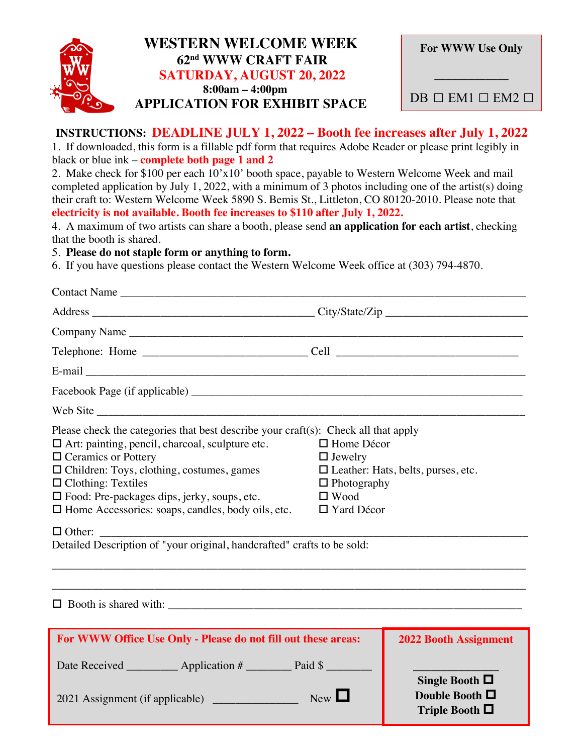

## **WESTERN WELCOME WEEK 62nd WWW CRAFT FAIR SATURDAY, AUGUST 20, 2022 8:00am – 4:00pm APPLICATION FOR EXHIBIT SPACE**

| <b>For WWW Use Only</b>              |
|--------------------------------------|
| $DB \square EM1 \square EM2 \square$ |

## **INSTRUCTIONS: DEADLINE JULY 1, 2022 – Booth fee increases after July 1, 2022**

1. If downloaded, this form is a fillable pdf form that requires Adobe Reader or please print legibly in black or blue ink – **complete both page 1 and 2**

2. Make check for \$100 per each 10'x10' booth space, payable to Western Welcome Week and mail completed application by July 1, 2022, with a minimum of 3 photos including one of the artist(s) doing their craft to: Western Welcome Week 5890 S. Bemis St., Littleton, CO 80120-2010. Please note that **electricity is not available. Booth fee increases to \$110 after July 1, 2022.**

4. A maximum of two artists can share a booth, please send **an application for each artist**, checking that the booth is shared.

## 5. **Please do not staple form or anything to form.**

6. If you have questions please contact the Western Welcome Week office at (303) 794-4870.

| Contact Name                                                                                                                                                                                                                                                                                                                                                                                                                                                                                                |                                                                                               |                                                                      |  |
|-------------------------------------------------------------------------------------------------------------------------------------------------------------------------------------------------------------------------------------------------------------------------------------------------------------------------------------------------------------------------------------------------------------------------------------------------------------------------------------------------------------|-----------------------------------------------------------------------------------------------|----------------------------------------------------------------------|--|
|                                                                                                                                                                                                                                                                                                                                                                                                                                                                                                             |                                                                                               |                                                                      |  |
| Company Name                                                                                                                                                                                                                                                                                                                                                                                                                                                                                                |                                                                                               |                                                                      |  |
|                                                                                                                                                                                                                                                                                                                                                                                                                                                                                                             |                                                                                               |                                                                      |  |
|                                                                                                                                                                                                                                                                                                                                                                                                                                                                                                             |                                                                                               |                                                                      |  |
|                                                                                                                                                                                                                                                                                                                                                                                                                                                                                                             |                                                                                               |                                                                      |  |
|                                                                                                                                                                                                                                                                                                                                                                                                                                                                                                             |                                                                                               |                                                                      |  |
| Please check the categories that best describe your craft(s): Check all that apply<br>$\Box$ Art: painting, pencil, charcoal, sculpture etc.<br>$\Box$ Ceramics or Pottery<br>$\Box$ Children: Toys, clothing, costumes, games<br>$\Box$ Clothing: Textiles<br>$\Box$ Food: Pre-packages dips, jerky, soups, etc.<br>□ Home Accessories: soaps, candles, body oils, etc.<br>$\Box$ Other:<br>Detailed Description of "your original, handcrafted" crafts to be sold:<br>$\Box$ Booth is shared with: $\Box$ | $\Box$ Home Décor<br>$\Box$ Jewelry<br>$\Box$ Photography<br>$\Box$ Wood<br>$\Box$ Yard Décor | $\Box$ Leather: Hats, belts, purses, etc.                            |  |
| For WWW Office Use Only - Please do not fill out these areas:                                                                                                                                                                                                                                                                                                                                                                                                                                               |                                                                                               | <b>2022 Booth Assignment</b>                                         |  |
| Date Received ____________ Application # ____________ Paid \$ __________<br>2021 Assignment (if applicable)                                                                                                                                                                                                                                                                                                                                                                                                 | New                                                                                           | Single Booth $\Box$<br>Double Booth $\square$<br>Triple Booth $\Box$ |  |